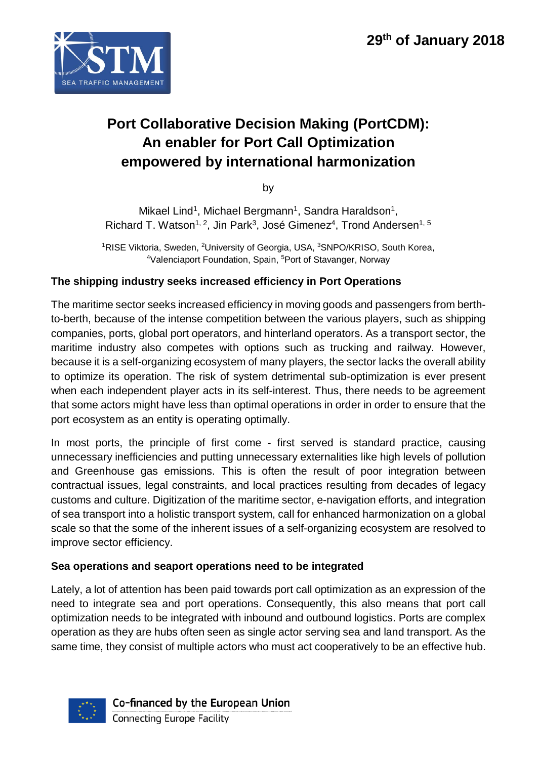

# **Port Collaborative Decision Making (PortCDM): An enabler for Port Call Optimization empowered by international harmonization**

by

Mikael Lind<sup>1</sup>, Michael Bergmann<sup>1</sup>, Sandra Haraldson<sup>1</sup>, Richard T. Watson<sup>1, 2</sup>, Jin Park<sup>3</sup>, José Gimenez<sup>4</sup>, Trond Andersen<sup>1, 5</sup>

<sup>1</sup>RISE Viktoria, Sweden, <sup>2</sup>University of Georgia, USA, <sup>3</sup>SNPO/KRISO, South Korea, 4 Valenciaport Foundation, Spain, 5Port of Stavanger, Norway

# **The shipping industry seeks increased efficiency in Port Operations**

The maritime sector seeks increased efficiency in moving goods and passengers from berthto-berth, because of the intense competition between the various players, such as shipping companies, ports, global port operators, and hinterland operators. As a transport sector, the maritime industry also competes with options such as trucking and railway. However, because it is a self-organizing ecosystem of many players, the sector lacks the overall ability to optimize its operation. The risk of system detrimental sub-optimization is ever present when each independent player acts in its self-interest. Thus, there needs to be agreement that some actors might have less than optimal operations in order in order to ensure that the port ecosystem as an entity is operating optimally.

In most ports, the principle of first come - first served is standard practice, causing unnecessary inefficiencies and putting unnecessary externalities like high levels of pollution and Greenhouse gas emissions. This is often the result of poor integration between contractual issues, legal constraints, and local practices resulting from decades of legacy customs and culture. Digitization of the maritime sector, e-navigation efforts, and integration of sea transport into a holistic transport system, call for enhanced harmonization on a global scale so that the some of the inherent issues of a self-organizing ecosystem are resolved to improve sector efficiency.

### **Sea operations and seaport operations need to be integrated**

Lately, a lot of attention has been paid towards port call optimization as an expression of the need to integrate sea and port operations. Consequently, this also means that port call optimization needs to be integrated with inbound and outbound logistics. Ports are complex operation as they are hubs often seen as single actor serving sea and land transport. As the same time, they consist of multiple actors who must act cooperatively to be an effective hub.

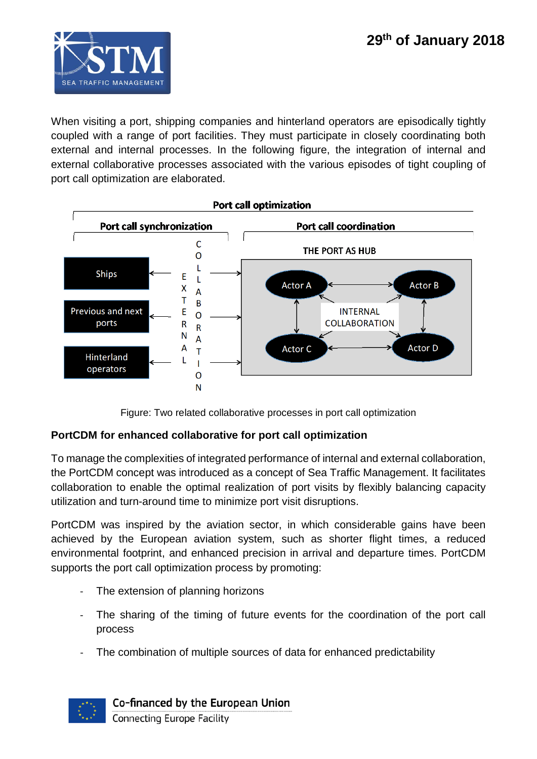

When visiting a port, shipping companies and hinterland operators are episodically tightly coupled with a range of port facilities. They must participate in closely coordinating both external and internal processes. In the following figure, the integration of internal and external collaborative processes associated with the various episodes of tight coupling of port call optimization are elaborated.



Figure: Two related collaborative processes in port call optimization

### **PortCDM for enhanced collaborative for port call optimization**

To manage the complexities of integrated performance of internal and external collaboration, the PortCDM concept was introduced as a concept of Sea Traffic Management. It facilitates collaboration to enable the optimal realization of port visits by flexibly balancing capacity utilization and turn-around time to minimize port visit disruptions.

PortCDM was inspired by the aviation sector, in which considerable gains have been achieved by the European aviation system, such as shorter flight times, a reduced environmental footprint, and enhanced precision in arrival and departure times. PortCDM supports the port call optimization process by promoting:

- The extension of planning horizons
- The sharing of the timing of future events for the coordination of the port call process
- The combination of multiple sources of data for enhanced predictability

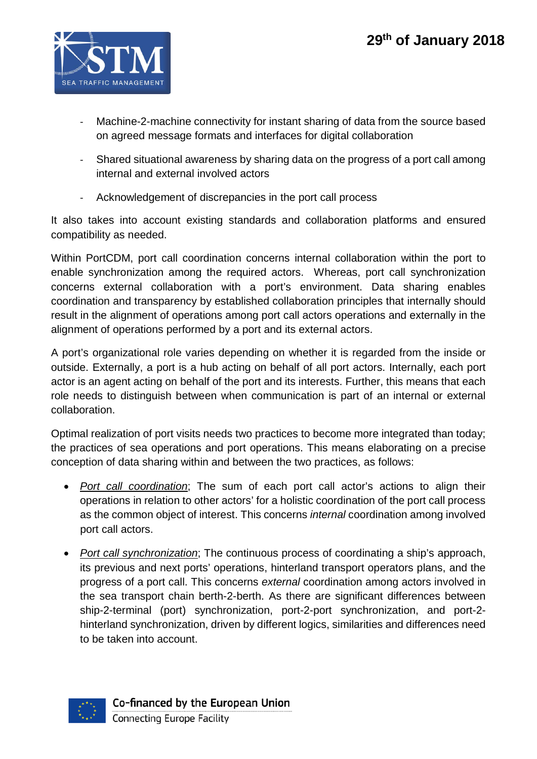

- Machine-2-machine connectivity for instant sharing of data from the source based on agreed message formats and interfaces for digital collaboration
- Shared situational awareness by sharing data on the progress of a port call among internal and external involved actors
- Acknowledgement of discrepancies in the port call process

It also takes into account existing standards and collaboration platforms and ensured compatibility as needed.

Within PortCDM, port call coordination concerns internal collaboration within the port to enable synchronization among the required actors. Whereas, port call synchronization concerns external collaboration with a port's environment. Data sharing enables coordination and transparency by established collaboration principles that internally should result in the alignment of operations among port call actors operations and externally in the alignment of operations performed by a port and its external actors.

A port's organizational role varies depending on whether it is regarded from the inside or outside. Externally, a port is a hub acting on behalf of all port actors. Internally, each port actor is an agent acting on behalf of the port and its interests. Further, this means that each role needs to distinguish between when communication is part of an internal or external collaboration.

Optimal realization of port visits needs two practices to become more integrated than today; the practices of sea operations and port operations. This means elaborating on a precise conception of data sharing within and between the two practices, as follows:

- *Port call coordination*; The sum of each port call actor's actions to align their operations in relation to other actors' for a holistic coordination of the port call process as the common object of interest. This concerns *internal* coordination among involved port call actors.
- *Port call synchronization*; The continuous process of coordinating a ship's approach, its previous and next ports' operations, hinterland transport operators plans, and the progress of a port call. This concerns *external* coordination among actors involved in the sea transport chain berth-2-berth. As there are significant differences between ship-2-terminal (port) synchronization, port-2-port synchronization, and port-2 hinterland synchronization, driven by different logics, similarities and differences need to be taken into account.

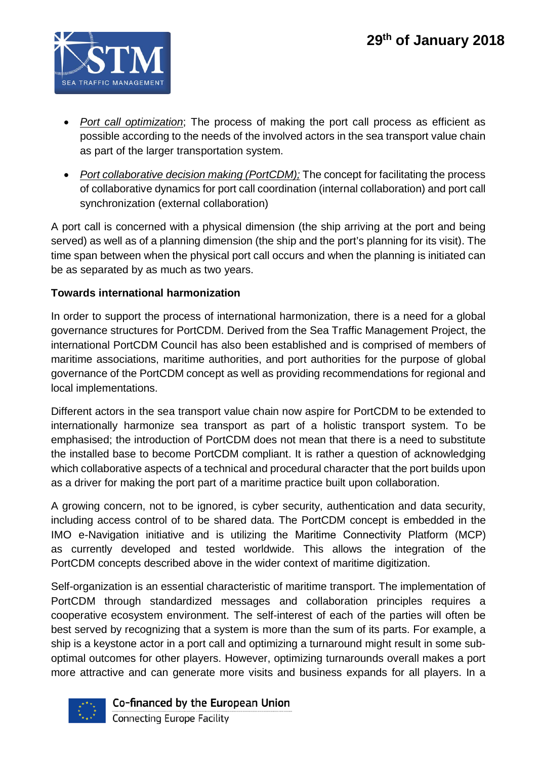

- *Port call optimization*; The process of making the port call process as efficient as possible according to the needs of the involved actors in the sea transport value chain as part of the larger transportation system.
- *Port collaborative decision making (PortCDM);* The concept for facilitating the process of collaborative dynamics for port call coordination (internal collaboration) and port call synchronization (external collaboration)

A port call is concerned with a physical dimension (the ship arriving at the port and being served) as well as of a planning dimension (the ship and the port's planning for its visit). The time span between when the physical port call occurs and when the planning is initiated can be as separated by as much as two years.

## **Towards international harmonization**

In order to support the process of international harmonization, there is a need for a global governance structures for PortCDM. Derived from the Sea Traffic Management Project, the international PortCDM Council has also been established and is comprised of members of maritime associations, maritime authorities, and port authorities for the purpose of global governance of the PortCDM concept as well as providing recommendations for regional and local implementations.

Different actors in the sea transport value chain now aspire for PortCDM to be extended to internationally harmonize sea transport as part of a holistic transport system. To be emphasised; the introduction of PortCDM does not mean that there is a need to substitute the installed base to become PortCDM compliant. It is rather a question of acknowledging which collaborative aspects of a technical and procedural character that the port builds upon as a driver for making the port part of a maritime practice built upon collaboration.

A growing concern, not to be ignored, is cyber security, authentication and data security, including access control of to be shared data. The PortCDM concept is embedded in the IMO e-Navigation initiative and is utilizing the Maritime Connectivity Platform (MCP) as currently developed and tested worldwide. This allows the integration of the PortCDM concepts described above in the wider context of maritime digitization.

Self-organization is an essential characteristic of maritime transport. The implementation of PortCDM through standardized messages and collaboration principles requires a cooperative ecosystem environment. The self-interest of each of the parties will often be best served by recognizing that a system is more than the sum of its parts. For example, a ship is a keystone actor in a port call and optimizing a turnaround might result in some suboptimal outcomes for other players. However, optimizing turnarounds overall makes a port more attractive and can generate more visits and business expands for all players. In a



Co-financed by the European Union

Connecting Europe Facility